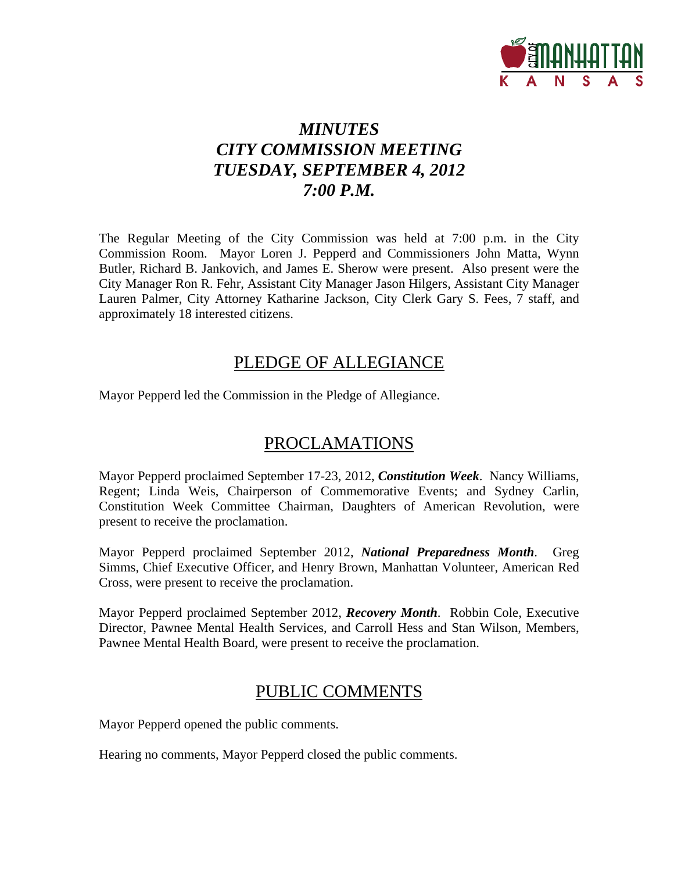

# *MINUTES CITY COMMISSION MEETING TUESDAY, SEPTEMBER 4, 2012 7:00 P.M.*

The Regular Meeting of the City Commission was held at 7:00 p.m. in the City Commission Room. Mayor Loren J. Pepperd and Commissioners John Matta, Wynn Butler, Richard B. Jankovich, and James E. Sherow were present. Also present were the City Manager Ron R. Fehr, Assistant City Manager Jason Hilgers, Assistant City Manager Lauren Palmer, City Attorney Katharine Jackson, City Clerk Gary S. Fees, 7 staff, and approximately 18 interested citizens.

## PLEDGE OF ALLEGIANCE

Mayor Pepperd led the Commission in the Pledge of Allegiance.

# PROCLAMATIONS

Mayor Pepperd proclaimed September 17-23, 2012, *Constitution Week*. Nancy Williams, Regent; Linda Weis, Chairperson of Commemorative Events; and Sydney Carlin, Constitution Week Committee Chairman, Daughters of American Revolution, were present to receive the proclamation.

Mayor Pepperd proclaimed September 2012, *National Preparedness Month*.Greg Simms, Chief Executive Officer, and Henry Brown, Manhattan Volunteer, American Red Cross, were present to receive the proclamation.

Mayor Pepperd proclaimed September 2012, *Recovery Month*. Robbin Cole, Executive Director, Pawnee Mental Health Services, and Carroll Hess and Stan Wilson, Members, Pawnee Mental Health Board, were present to receive the proclamation.

# PUBLIC COMMENTS

Mayor Pepperd opened the public comments.

Hearing no comments, Mayor Pepperd closed the public comments.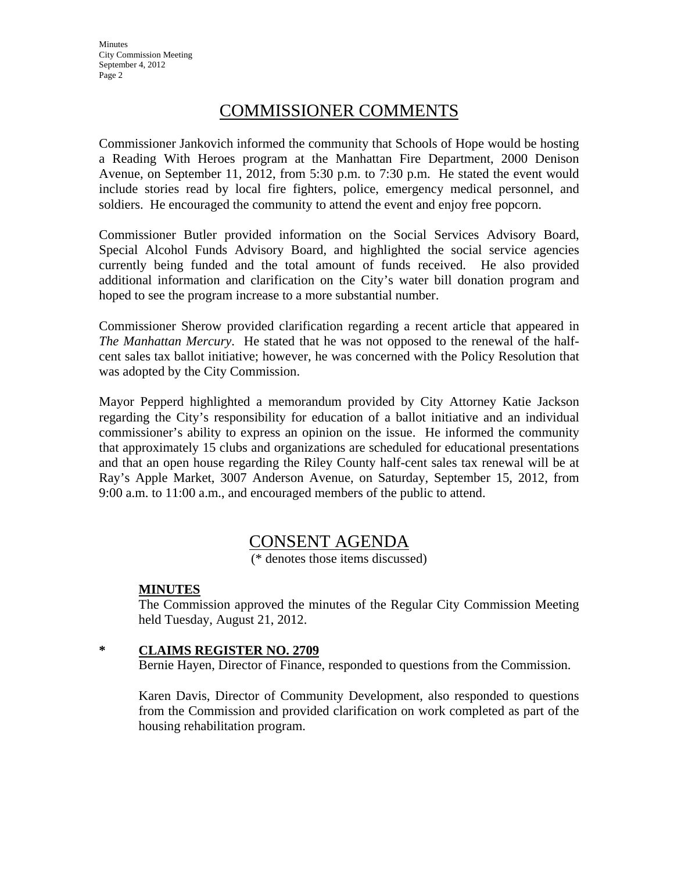**Minutes** City Commission Meeting September 4, 2012 Page 2

# COMMISSIONER COMMENTS

Commissioner Jankovich informed the community that Schools of Hope would be hosting a Reading With Heroes program at the Manhattan Fire Department, 2000 Denison Avenue, on September 11, 2012, from 5:30 p.m. to 7:30 p.m. He stated the event would include stories read by local fire fighters, police, emergency medical personnel, and soldiers. He encouraged the community to attend the event and enjoy free popcorn.

Commissioner Butler provided information on the Social Services Advisory Board, Special Alcohol Funds Advisory Board, and highlighted the social service agencies currently being funded and the total amount of funds received. He also provided additional information and clarification on the City's water bill donation program and hoped to see the program increase to a more substantial number.

Commissioner Sherow provided clarification regarding a recent article that appeared in *The Manhattan Mercury*. He stated that he was not opposed to the renewal of the halfcent sales tax ballot initiative; however, he was concerned with the Policy Resolution that was adopted by the City Commission.

Mayor Pepperd highlighted a memorandum provided by City Attorney Katie Jackson regarding the City's responsibility for education of a ballot initiative and an individual commissioner's ability to express an opinion on the issue. He informed the community that approximately 15 clubs and organizations are scheduled for educational presentations and that an open house regarding the Riley County half-cent sales tax renewal will be at Ray's Apple Market, 3007 Anderson Avenue, on Saturday, September 15, 2012, from 9:00 a.m. to 11:00 a.m., and encouraged members of the public to attend.

## CONSENT AGENDA

(\* denotes those items discussed)

## **MINUTES**

The Commission approved the minutes of the Regular City Commission Meeting held Tuesday, August 21, 2012.

## **\* CLAIMS REGISTER NO. 2709**

Bernie Hayen, Director of Finance, responded to questions from the Commission.

Karen Davis, Director of Community Development, also responded to questions from the Commission and provided clarification on work completed as part of the housing rehabilitation program.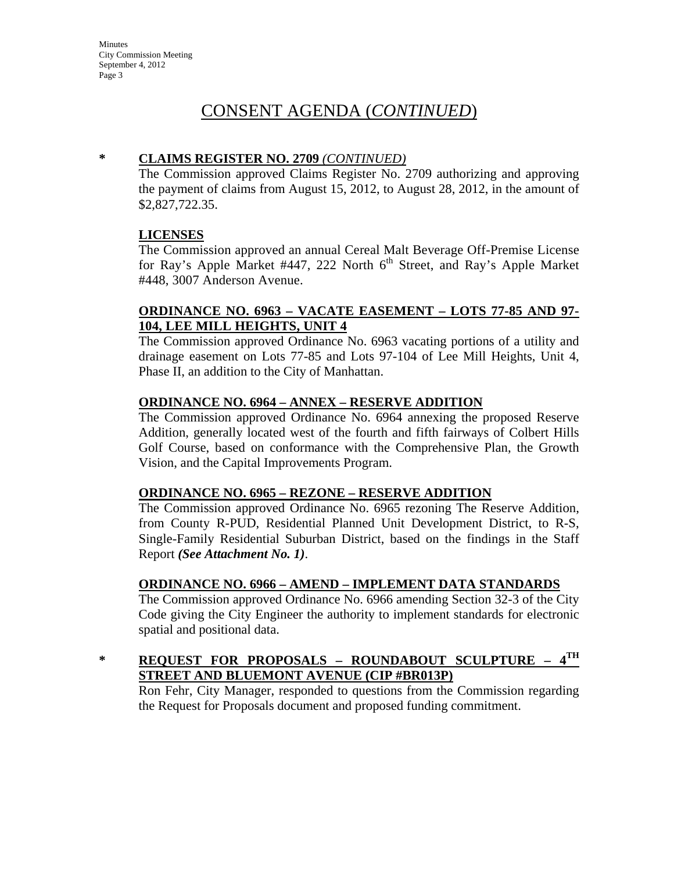# CONSENT AGENDA (*CONTINUED*)

#### **\* CLAIMS REGISTER NO. 2709** *(CONTINUED)*

The Commission approved Claims Register No. 2709 authorizing and approving the payment of claims from August 15, 2012, to August 28, 2012, in the amount of \$2,827,722.35.

#### **LICENSES**

The Commission approved an annual Cereal Malt Beverage Off-Premise License for Ray's Apple Market #447, 222 North  $6<sup>th</sup>$  Street, and Ray's Apple Market #448, 3007 Anderson Avenue.

## **ORDINANCE NO. 6963 – VACATE EASEMENT – LOTS 77-85 AND 97- 104, LEE MILL HEIGHTS, UNIT 4**

The Commission approved Ordinance No. 6963 vacating portions of a utility and drainage easement on Lots 77-85 and Lots 97-104 of Lee Mill Heights, Unit 4, Phase II, an addition to the City of Manhattan.

#### **ORDINANCE NO. 6964 – ANNEX – RESERVE ADDITION**

The Commission approved Ordinance No. 6964 annexing the proposed Reserve Addition, generally located west of the fourth and fifth fairways of Colbert Hills Golf Course, based on conformance with the Comprehensive Plan, the Growth Vision, and the Capital Improvements Program.

#### **ORDINANCE NO. 6965 – REZONE – RESERVE ADDITION**

The Commission approved Ordinance No. 6965 rezoning The Reserve Addition, from County R-PUD, Residential Planned Unit Development District, to R-S, Single-Family Residential Suburban District, based on the findings in the Staff Report *(See Attachment No. 1)*.

## **ORDINANCE NO. 6966 – AMEND – IMPLEMENT DATA STANDARDS**

The Commission approved Ordinance No. 6966 amending Section 32-3 of the City Code giving the City Engineer the authority to implement standards for electronic spatial and positional data.

## **\* REQUEST FOR PROPOSALS – ROUNDABOUT SCULPTURE – 4TH STREET AND BLUEMONT AVENUE (CIP #BR013P)**

Ron Fehr, City Manager, responded to questions from the Commission regarding the Request for Proposals document and proposed funding commitment.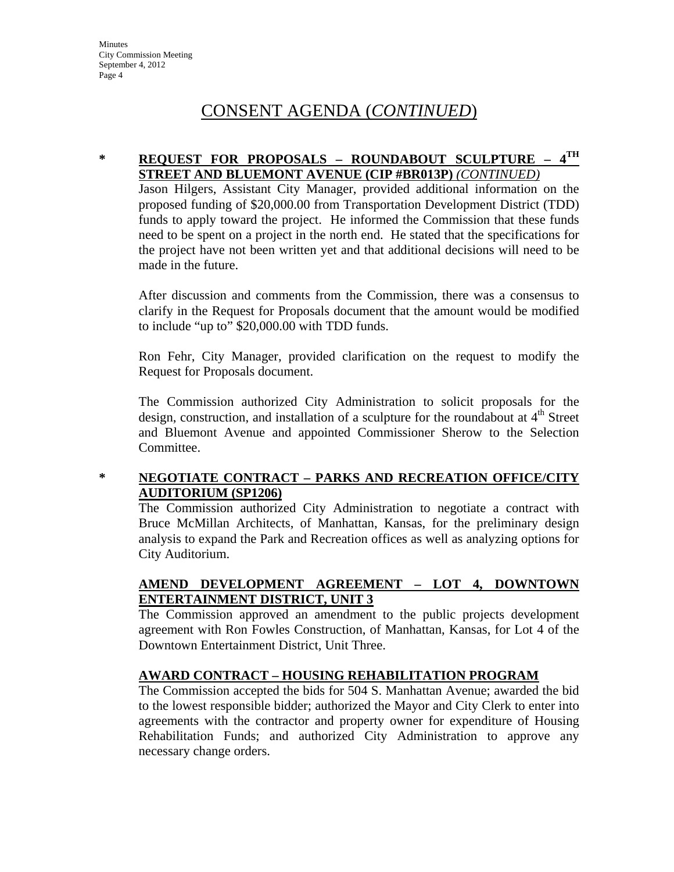# CONSENT AGENDA (*CONTINUED*)

## **\* REQUEST FOR PROPOSALS – ROUNDABOUT SCULPTURE – 4TH STREET AND BLUEMONT AVENUE (CIP #BR013P)** *(CONTINUED)*

Jason Hilgers, Assistant City Manager, provided additional information on the proposed funding of \$20,000.00 from Transportation Development District (TDD) funds to apply toward the project. He informed the Commission that these funds need to be spent on a project in the north end. He stated that the specifications for the project have not been written yet and that additional decisions will need to be made in the future.

After discussion and comments from the Commission, there was a consensus to clarify in the Request for Proposals document that the amount would be modified to include "up to" \$20,000.00 with TDD funds.

Ron Fehr, City Manager, provided clarification on the request to modify the Request for Proposals document.

The Commission authorized City Administration to solicit proposals for the design, construction, and installation of a sculpture for the roundabout at  $4<sup>th</sup>$  Street and Bluemont Avenue and appointed Commissioner Sherow to the Selection Committee.

#### **\* NEGOTIATE CONTRACT – PARKS AND RECREATION OFFICE/CITY AUDITORIUM (SP1206)**

The Commission authorized City Administration to negotiate a contract with Bruce McMillan Architects, of Manhattan, Kansas, for the preliminary design analysis to expand the Park and Recreation offices as well as analyzing options for City Auditorium.

## **AMEND DEVELOPMENT AGREEMENT – LOT 4, DOWNTOWN ENTERTAINMENT DISTRICT, UNIT 3**

The Commission approved an amendment to the public projects development agreement with Ron Fowles Construction, of Manhattan, Kansas, for Lot 4 of the Downtown Entertainment District, Unit Three.

## **AWARD CONTRACT – HOUSING REHABILITATION PROGRAM**

The Commission accepted the bids for 504 S. Manhattan Avenue; awarded the bid to the lowest responsible bidder; authorized the Mayor and City Clerk to enter into agreements with the contractor and property owner for expenditure of Housing Rehabilitation Funds; and authorized City Administration to approve any necessary change orders.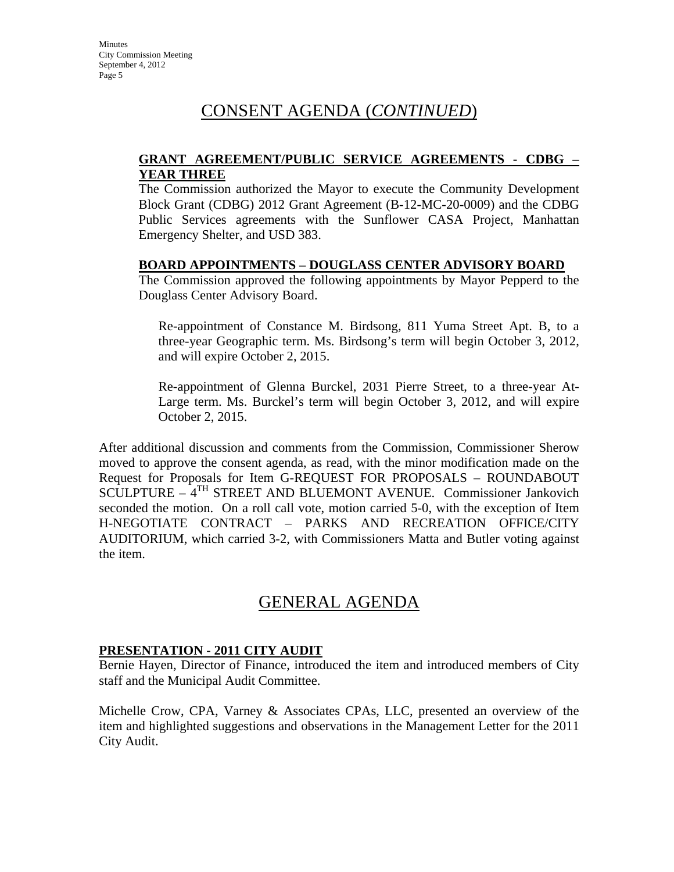# CONSENT AGENDA (*CONTINUED*)

## **GRANT AGREEMENT/PUBLIC SERVICE AGREEMENTS - CDBG – YEAR THREE**

The Commission authorized the Mayor to execute the Community Development Block Grant (CDBG) 2012 Grant Agreement (B-12-MC-20-0009) and the CDBG Public Services agreements with the Sunflower CASA Project, Manhattan Emergency Shelter, and USD 383.

#### **BOARD APPOINTMENTS – DOUGLASS CENTER ADVISORY BOARD**

The Commission approved the following appointments by Mayor Pepperd to the Douglass Center Advisory Board.

Re-appointment of Constance M. Birdsong, 811 Yuma Street Apt. B, to a three-year Geographic term. Ms. Birdsong's term will begin October 3, 2012, and will expire October 2, 2015.

Re-appointment of Glenna Burckel, 2031 Pierre Street, to a three-year At-Large term. Ms. Burckel's term will begin October 3, 2012, and will expire October 2, 2015.

After additional discussion and comments from the Commission, Commissioner Sherow moved to approve the consent agenda, as read, with the minor modification made on the Request for Proposals for Item G-REQUEST FOR PROPOSALS – ROUNDABOUT  $SCULPTURE - 4<sup>TH</sup> STREET AND BLUEMONT AVENUE.$  Commissioner Jankovich seconded the motion. On a roll call vote, motion carried 5-0, with the exception of Item H-NEGOTIATE CONTRACT – PARKS AND RECREATION OFFICE/CITY AUDITORIUM, which carried 3-2, with Commissioners Matta and Butler voting against the item.

# GENERAL AGENDA

## **PRESENTATION - 2011 CITY AUDIT**

Bernie Hayen, Director of Finance, introduced the item and introduced members of City staff and the Municipal Audit Committee.

Michelle Crow, CPA, Varney & Associates CPAs, LLC, presented an overview of the item and highlighted suggestions and observations in the Management Letter for the 2011 City Audit.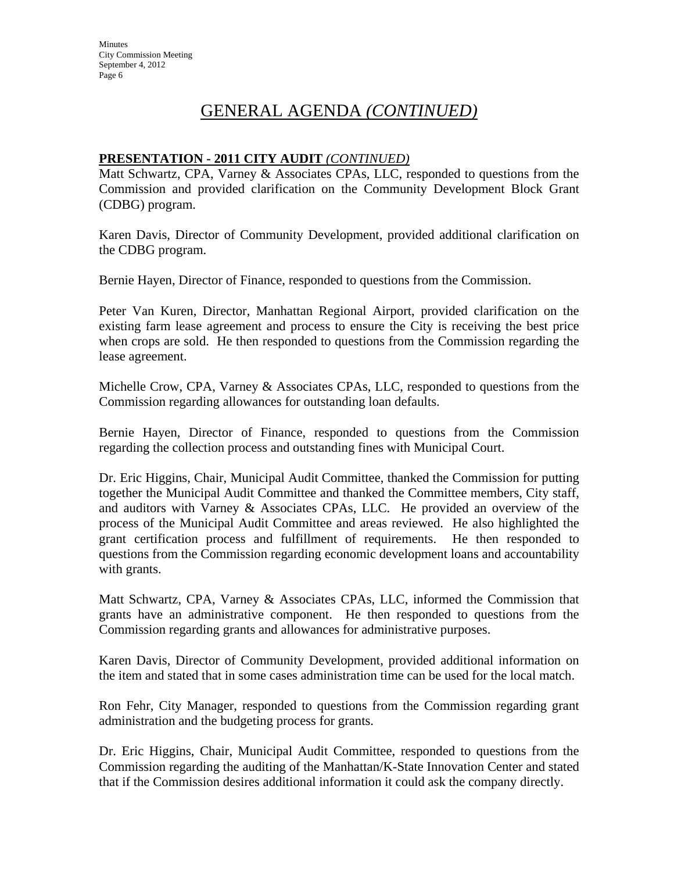# GENERAL AGENDA *(CONTINUED)*

## **PRESENTATION - 2011 CITY AUDIT** *(CONTINUED)*

Matt Schwartz, CPA, Varney & Associates CPAs, LLC, responded to questions from the Commission and provided clarification on the Community Development Block Grant (CDBG) program.

Karen Davis, Director of Community Development, provided additional clarification on the CDBG program.

Bernie Hayen, Director of Finance, responded to questions from the Commission.

Peter Van Kuren, Director, Manhattan Regional Airport, provided clarification on the existing farm lease agreement and process to ensure the City is receiving the best price when crops are sold. He then responded to questions from the Commission regarding the lease agreement.

Michelle Crow, CPA, Varney & Associates CPAs, LLC, responded to questions from the Commission regarding allowances for outstanding loan defaults.

Bernie Hayen, Director of Finance, responded to questions from the Commission regarding the collection process and outstanding fines with Municipal Court.

Dr. Eric Higgins, Chair, Municipal Audit Committee, thanked the Commission for putting together the Municipal Audit Committee and thanked the Committee members, City staff, and auditors with Varney & Associates CPAs, LLC. He provided an overview of the process of the Municipal Audit Committee and areas reviewed. He also highlighted the grant certification process and fulfillment of requirements. He then responded to questions from the Commission regarding economic development loans and accountability with grants.

Matt Schwartz, CPA, Varney & Associates CPAs, LLC, informed the Commission that grants have an administrative component. He then responded to questions from the Commission regarding grants and allowances for administrative purposes.

Karen Davis, Director of Community Development, provided additional information on the item and stated that in some cases administration time can be used for the local match.

Ron Fehr, City Manager, responded to questions from the Commission regarding grant administration and the budgeting process for grants.

Dr. Eric Higgins, Chair, Municipal Audit Committee, responded to questions from the Commission regarding the auditing of the Manhattan/K-State Innovation Center and stated that if the Commission desires additional information it could ask the company directly.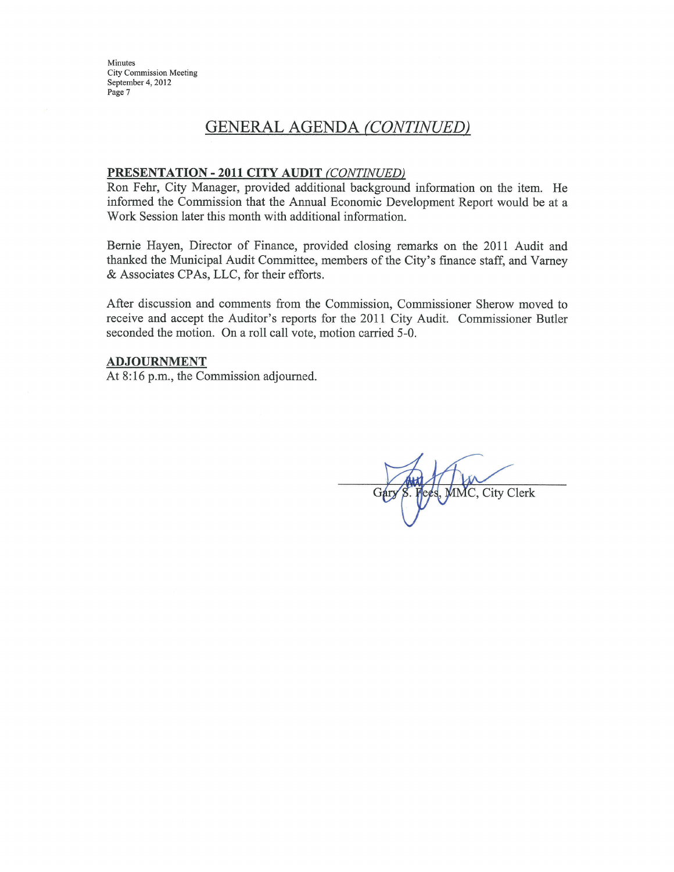## **GENERAL AGENDA (CONTINUED)**

#### PRESENTATION - 2011 CITY AUDIT (CONTINUED)

Ron Fehr, City Manager, provided additional background information on the item. He informed the Commission that the Annual Economic Development Report would be at a Work Session later this month with additional information.

Bernie Hayen, Director of Finance, provided closing remarks on the 2011 Audit and thanked the Municipal Audit Committee, members of the City's finance staff, and Varney & Associates CPAs, LLC, for their efforts.

After discussion and comments from the Commission, Commissioner Sherow moved to receive and accept the Auditor's reports for the 2011 City Audit. Commissioner Butler seconded the motion. On a roll call vote, motion carried 5-0.

#### **ADJOURNMENT**

At 8:16 p.m., the Commission adjourned.

ees, MMC, City Clerk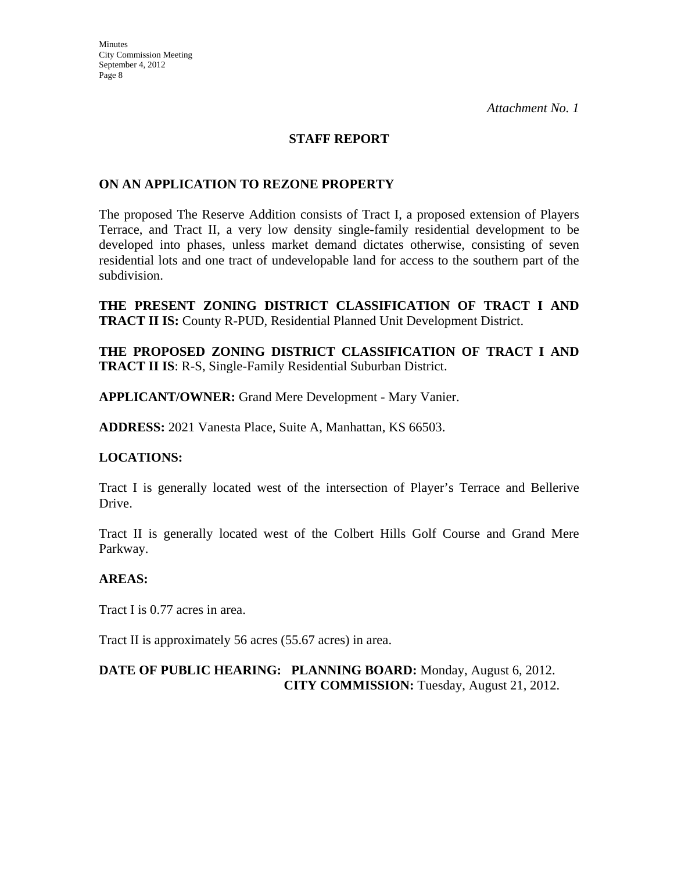### **STAFF REPORT**

#### **ON AN APPLICATION TO REZONE PROPERTY**

The proposed The Reserve Addition consists of Tract I, a proposed extension of Players Terrace, and Tract II, a very low density single-family residential development to be developed into phases, unless market demand dictates otherwise, consisting of seven residential lots and one tract of undevelopable land for access to the southern part of the subdivision.

**THE PRESENT ZONING DISTRICT CLASSIFICATION OF TRACT I AND TRACT II IS:** County R-PUD, Residential Planned Unit Development District.

**THE PROPOSED ZONING DISTRICT CLASSIFICATION OF TRACT I AND TRACT II IS**: R-S, Single-Family Residential Suburban District.

**APPLICANT/OWNER:** Grand Mere Development - Mary Vanier.

**ADDRESS:** 2021 Vanesta Place, Suite A, Manhattan, KS 66503.

#### **LOCATIONS:**

Tract I is generally located west of the intersection of Player's Terrace and Bellerive Drive.

Tract II is generally located west of the Colbert Hills Golf Course and Grand Mere Parkway.

#### **AREAS:**

Tract I is 0.77 acres in area.

Tract II is approximately 56 acres (55.67 acres) in area.

## **DATE OF PUBLIC HEARING: PLANNING BOARD:** Monday, August 6, 2012. **CITY COMMISSION:** Tuesday, August 21, 2012.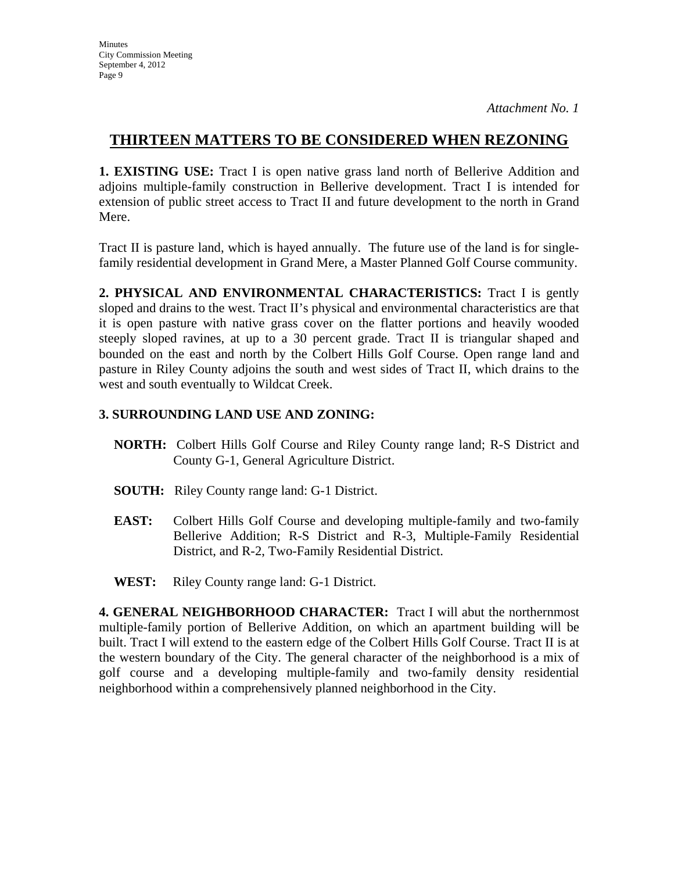## **THIRTEEN MATTERS TO BE CONSIDERED WHEN REZONING**

**1. EXISTING USE:** Tract I is open native grass land north of Bellerive Addition and adjoins multiple-family construction in Bellerive development. Tract I is intended for extension of public street access to Tract II and future development to the north in Grand Mere.

Tract II is pasture land, which is hayed annually. The future use of the land is for singlefamily residential development in Grand Mere, a Master Planned Golf Course community.

**2. PHYSICAL AND ENVIRONMENTAL CHARACTERISTICS:** Tract I is gently sloped and drains to the west. Tract II's physical and environmental characteristics are that it is open pasture with native grass cover on the flatter portions and heavily wooded steeply sloped ravines, at up to a 30 percent grade. Tract II is triangular shaped and bounded on the east and north by the Colbert Hills Golf Course. Open range land and pasture in Riley County adjoins the south and west sides of Tract II, which drains to the west and south eventually to Wildcat Creek.

## **3. SURROUNDING LAND USE AND ZONING:**

- **NORTH:** Colbert Hills Golf Course and Riley County range land; R-S District and County G-1, General Agriculture District.
- **SOUTH:** Riley County range land: G-1 District.
- **EAST:** Colbert Hills Golf Course and developing multiple-family and two-family Bellerive Addition; R-S District and R-3, Multiple-Family Residential District, and R-2, Two-Family Residential District.
- **WEST:** Riley County range land: G-1 District.

**4. GENERAL NEIGHBORHOOD CHARACTER:** Tract I will abut the northernmost multiple-family portion of Bellerive Addition, on which an apartment building will be built. Tract I will extend to the eastern edge of the Colbert Hills Golf Course. Tract II is at the western boundary of the City. The general character of the neighborhood is a mix of golf course and a developing multiple-family and two-family density residential neighborhood within a comprehensively planned neighborhood in the City.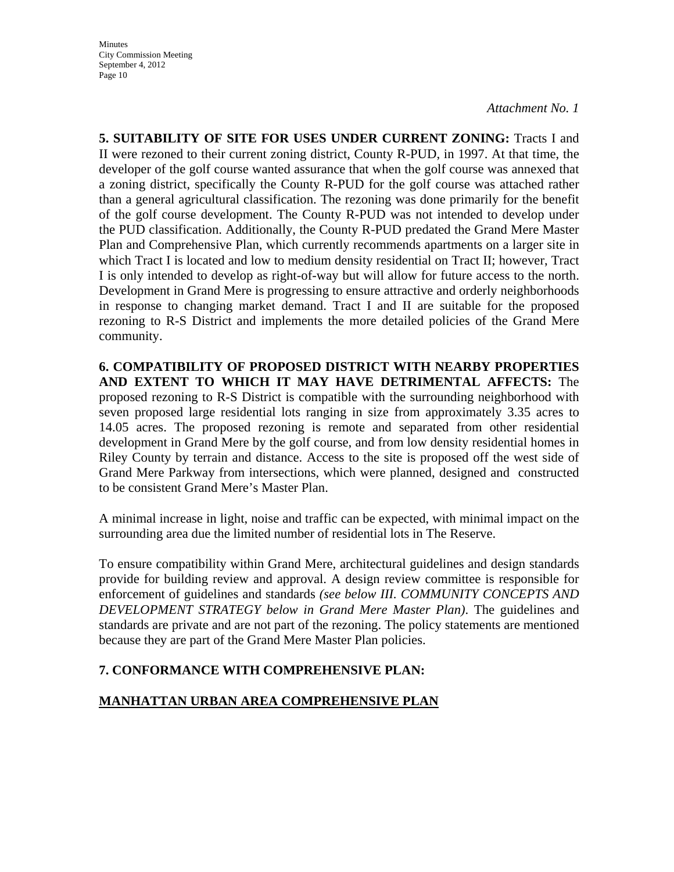**5. SUITABILITY OF SITE FOR USES UNDER CURRENT ZONING:** Tracts I and II were rezoned to their current zoning district, County R-PUD, in 1997. At that time, the developer of the golf course wanted assurance that when the golf course was annexed that a zoning district, specifically the County R-PUD for the golf course was attached rather than a general agricultural classification. The rezoning was done primarily for the benefit of the golf course development. The County R-PUD was not intended to develop under the PUD classification. Additionally, the County R-PUD predated the Grand Mere Master Plan and Comprehensive Plan, which currently recommends apartments on a larger site in which Tract I is located and low to medium density residential on Tract II; however, Tract I is only intended to develop as right-of-way but will allow for future access to the north. Development in Grand Mere is progressing to ensure attractive and orderly neighborhoods in response to changing market demand. Tract I and II are suitable for the proposed rezoning to R-S District and implements the more detailed policies of the Grand Mere community.

**6. COMPATIBILITY OF PROPOSED DISTRICT WITH NEARBY PROPERTIES AND EXTENT TO WHICH IT MAY HAVE DETRIMENTAL AFFECTS:** The proposed rezoning to R-S District is compatible with the surrounding neighborhood with seven proposed large residential lots ranging in size from approximately 3.35 acres to 14.05 acres. The proposed rezoning is remote and separated from other residential development in Grand Mere by the golf course, and from low density residential homes in Riley County by terrain and distance. Access to the site is proposed off the west side of Grand Mere Parkway from intersections, which were planned, designed and constructed to be consistent Grand Mere's Master Plan.

A minimal increase in light, noise and traffic can be expected, with minimal impact on the surrounding area due the limited number of residential lots in The Reserve.

To ensure compatibility within Grand Mere, architectural guidelines and design standards provide for building review and approval. A design review committee is responsible for enforcement of guidelines and standards *(see below III. COMMUNITY CONCEPTS AND DEVELOPMENT STRATEGY below in Grand Mere Master Plan)*. The guidelines and standards are private and are not part of the rezoning. The policy statements are mentioned because they are part of the Grand Mere Master Plan policies.

## **7. CONFORMANCE WITH COMPREHENSIVE PLAN:**

## **MANHATTAN URBAN AREA COMPREHENSIVE PLAN**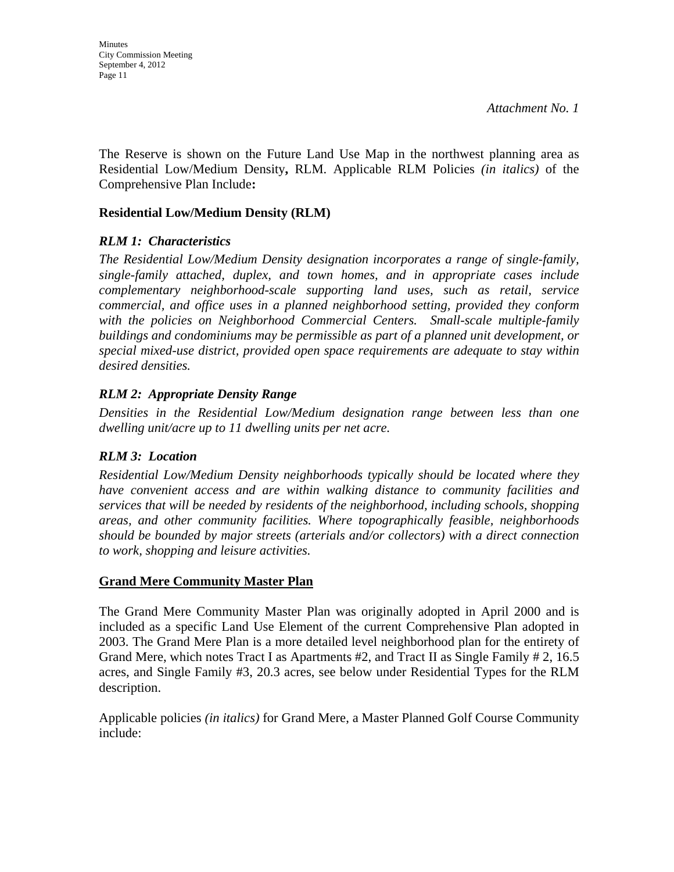The Reserve is shown on the Future Land Use Map in the northwest planning area as Residential Low/Medium Density**,** RLM. Applicable RLM Policies *(in italics)* of the Comprehensive Plan Include**:**

### **Residential Low/Medium Density (RLM)**

#### *RLM 1: Characteristics*

*The Residential Low/Medium Density designation incorporates a range of single-family, single-family attached, duplex, and town homes, and in appropriate cases include complementary neighborhood-scale supporting land uses, such as retail, service commercial, and office uses in a planned neighborhood setting, provided they conform*  with the policies on Neighborhood Commercial Centers. Small-scale multiple-family *buildings and condominiums may be permissible as part of a planned unit development, or special mixed-use district, provided open space requirements are adequate to stay within desired densities.* 

## *RLM 2: Appropriate Density Range*

*Densities in the Residential Low/Medium designation range between less than one dwelling unit/acre up to 11 dwelling units per net acre.* 

#### *RLM 3: Location*

*Residential Low/Medium Density neighborhoods typically should be located where they have convenient access and are within walking distance to community facilities and services that will be needed by residents of the neighborhood, including schools, shopping areas, and other community facilities. Where topographically feasible, neighborhoods should be bounded by major streets (arterials and/or collectors) with a direct connection to work, shopping and leisure activities.* 

#### **Grand Mere Community Master Plan**

The Grand Mere Community Master Plan was originally adopted in April 2000 and is included as a specific Land Use Element of the current Comprehensive Plan adopted in 2003. The Grand Mere Plan is a more detailed level neighborhood plan for the entirety of Grand Mere, which notes Tract I as Apartments #2, and Tract II as Single Family # 2, 16.5 acres, and Single Family #3, 20.3 acres, see below under Residential Types for the RLM description.

Applicable policies *(in italics)* for Grand Mere, a Master Planned Golf Course Community include: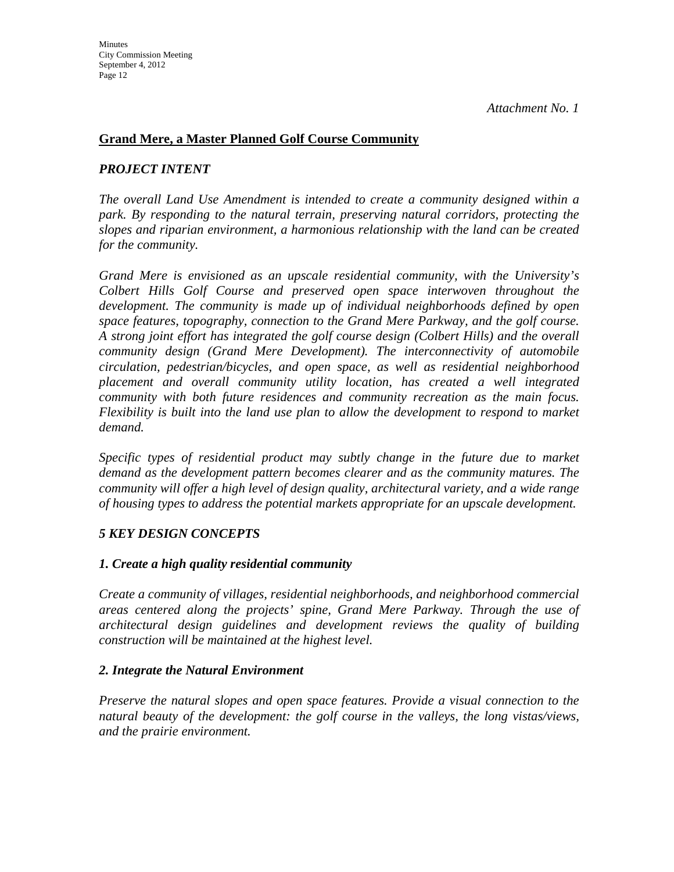## **Grand Mere, a Master Planned Golf Course Community**

## *PROJECT INTENT*

*The overall Land Use Amendment is intended to create a community designed within a park. By responding to the natural terrain, preserving natural corridors, protecting the slopes and riparian environment, a harmonious relationship with the land can be created for the community.* 

*Grand Mere is envisioned as an upscale residential community, with the University's Colbert Hills Golf Course and preserved open space interwoven throughout the development. The community is made up of individual neighborhoods defined by open space features, topography, connection to the Grand Mere Parkway, and the golf course. A strong joint effort has integrated the golf course design (Colbert Hills) and the overall community design (Grand Mere Development). The interconnectivity of automobile circulation, pedestrian/bicycles, and open space, as well as residential neighborhood placement and overall community utility location, has created a well integrated community with both future residences and community recreation as the main focus. Flexibility is built into the land use plan to allow the development to respond to market demand.* 

*Specific types of residential product may subtly change in the future due to market demand as the development pattern becomes clearer and as the community matures. The community will offer a high level of design quality, architectural variety, and a wide range of housing types to address the potential markets appropriate for an upscale development.* 

## *5 KEY DESIGN CONCEPTS*

## *1. Create a high quality residential community*

*Create a community of villages, residential neighborhoods, and neighborhood commercial areas centered along the projects' spine, Grand Mere Parkway. Through the use of architectural design guidelines and development reviews the quality of building construction will be maintained at the highest level.* 

## *2. Integrate the Natural Environment*

*Preserve the natural slopes and open space features. Provide a visual connection to the natural beauty of the development: the golf course in the valleys, the long vistas/views, and the prairie environment.*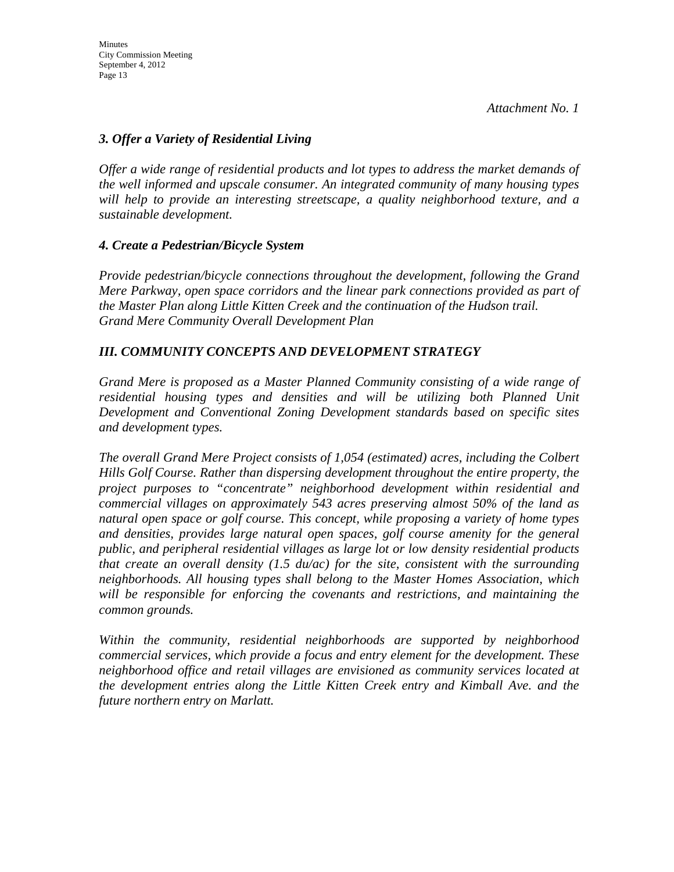## *3. Offer a Variety of Residential Living*

*Offer a wide range of residential products and lot types to address the market demands of the well informed and upscale consumer. An integrated community of many housing types will help to provide an interesting streetscape, a quality neighborhood texture, and a sustainable development.* 

## *4. Create a Pedestrian/Bicycle System*

*Provide pedestrian/bicycle connections throughout the development, following the Grand Mere Parkway, open space corridors and the linear park connections provided as part of the Master Plan along Little Kitten Creek and the continuation of the Hudson trail. Grand Mere Community Overall Development Plan* 

## *III. COMMUNITY CONCEPTS AND DEVELOPMENT STRATEGY*

*Grand Mere is proposed as a Master Planned Community consisting of a wide range of residential housing types and densities and will be utilizing both Planned Unit Development and Conventional Zoning Development standards based on specific sites and development types.* 

*The overall Grand Mere Project consists of 1,054 (estimated) acres, including the Colbert Hills Golf Course. Rather than dispersing development throughout the entire property, the project purposes to "concentrate" neighborhood development within residential and commercial villages on approximately 543 acres preserving almost 50% of the land as natural open space or golf course. This concept, while proposing a variety of home types and densities, provides large natural open spaces, golf course amenity for the general public, and peripheral residential villages as large lot or low density residential products that create an overall density (1.5 du/ac) for the site, consistent with the surrounding neighborhoods. All housing types shall belong to the Master Homes Association, which will be responsible for enforcing the covenants and restrictions, and maintaining the common grounds.* 

*Within the community, residential neighborhoods are supported by neighborhood commercial services, which provide a focus and entry element for the development. These neighborhood office and retail villages are envisioned as community services located at the development entries along the Little Kitten Creek entry and Kimball Ave. and the future northern entry on Marlatt.*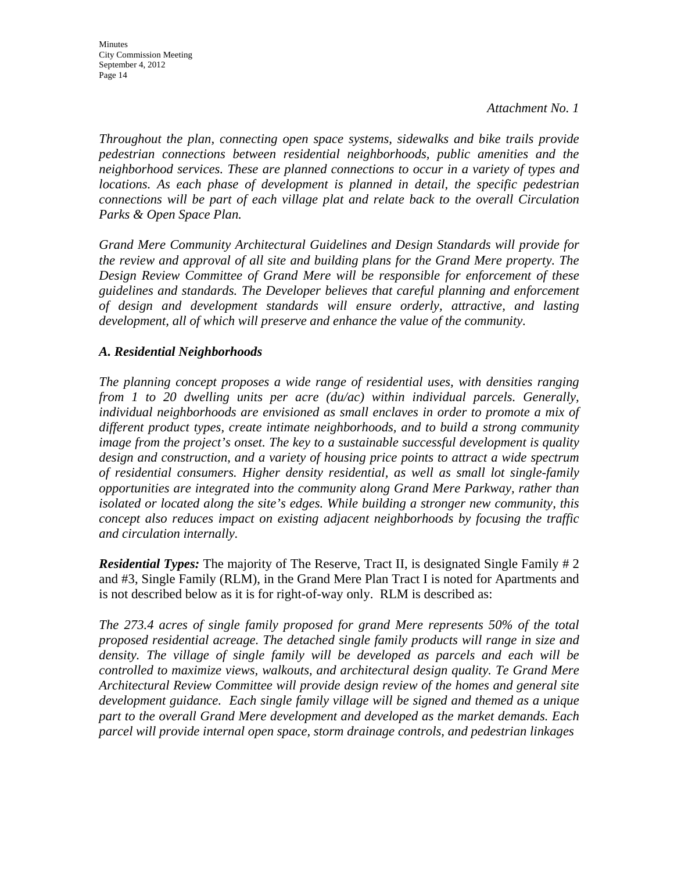*Throughout the plan, connecting open space systems, sidewalks and bike trails provide pedestrian connections between residential neighborhoods, public amenities and the neighborhood services. These are planned connections to occur in a variety of types and locations. As each phase of development is planned in detail, the specific pedestrian connections will be part of each village plat and relate back to the overall Circulation Parks & Open Space Plan.* 

*Grand Mere Community Architectural Guidelines and Design Standards will provide for the review and approval of all site and building plans for the Grand Mere property. The Design Review Committee of Grand Mere will be responsible for enforcement of these guidelines and standards. The Developer believes that careful planning and enforcement of design and development standards will ensure orderly, attractive, and lasting development, all of which will preserve and enhance the value of the community.* 

## *A. Residential Neighborhoods*

*The planning concept proposes a wide range of residential uses, with densities ranging from 1 to 20 dwelling units per acre (du/ac) within individual parcels. Generally, individual neighborhoods are envisioned as small enclaves in order to promote a mix of different product types, create intimate neighborhoods, and to build a strong community image from the project's onset. The key to a sustainable successful development is quality design and construction, and a variety of housing price points to attract a wide spectrum of residential consumers. Higher density residential, as well as small lot single-family opportunities are integrated into the community along Grand Mere Parkway, rather than isolated or located along the site's edges. While building a stronger new community, this concept also reduces impact on existing adjacent neighborhoods by focusing the traffic and circulation internally.* 

*Residential Types:* The majority of The Reserve, Tract II, is designated Single Family # 2 and #3, Single Family (RLM), in the Grand Mere Plan Tract I is noted for Apartments and is not described below as it is for right-of-way only. RLM is described as:

*The 273.4 acres of single family proposed for grand Mere represents 50% of the total proposed residential acreage. The detached single family products will range in size and*  density. The village of single family will be developed as parcels and each will be *controlled to maximize views, walkouts, and architectural design quality. Te Grand Mere Architectural Review Committee will provide design review of the homes and general site development guidance. Each single family village will be signed and themed as a unique part to the overall Grand Mere development and developed as the market demands. Each parcel will provide internal open space, storm drainage controls, and pedestrian linkages*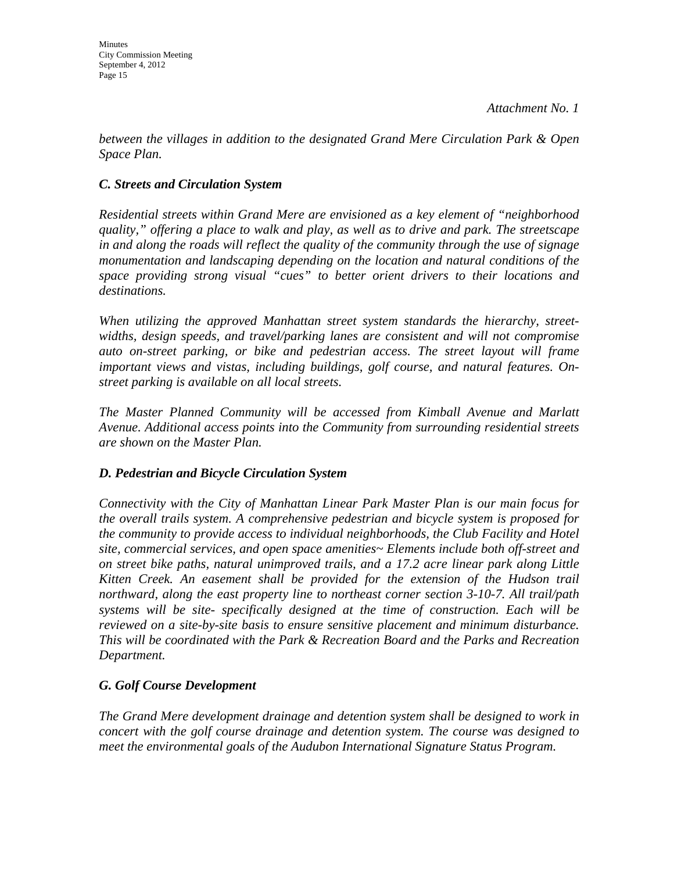*between the villages in addition to the designated Grand Mere Circulation Park & Open Space Plan.* 

## *C. Streets and Circulation System*

*Residential streets within Grand Mere are envisioned as a key element of "neighborhood quality," offering a place to walk and play, as well as to drive and park. The streetscape in and along the roads will reflect the quality of the community through the use of signage monumentation and landscaping depending on the location and natural conditions of the space providing strong visual "cues" to better orient drivers to their locations and destinations.* 

*When utilizing the approved Manhattan street system standards the hierarchy, streetwidths, design speeds, and travel/parking lanes are consistent and will not compromise auto on-street parking, or bike and pedestrian access. The street layout will frame important views and vistas, including buildings, golf course, and natural features. Onstreet parking is available on all local streets.* 

*The Master Planned Community will be accessed from Kimball Avenue and Marlatt Avenue. Additional access points into the Community from surrounding residential streets are shown on the Master Plan.* 

## *D. Pedestrian and Bicycle Circulation System*

*Connectivity with the City of Manhattan Linear Park Master Plan is our main focus for the overall trails system. A comprehensive pedestrian and bicycle system is proposed for the community to provide access to individual neighborhoods, the Club Facility and Hotel site, commercial services, and open space amenities~ Elements include both off-street and on street bike paths, natural unimproved trails, and a 17.2 acre linear park along Little Kitten Creek. An easement shall be provided for the extension of the Hudson trail northward, along the east property line to northeast corner section 3-10-7. All trail/path systems will be site- specifically designed at the time of construction. Each will be reviewed on a site-by-site basis to ensure sensitive placement and minimum disturbance. This will be coordinated with the Park & Recreation Board and the Parks and Recreation Department.* 

## *G. Golf Course Development*

*The Grand Mere development drainage and detention system shall be designed to work in concert with the golf course drainage and detention system. The course was designed to meet the environmental goals of the Audubon International Signature Status Program.*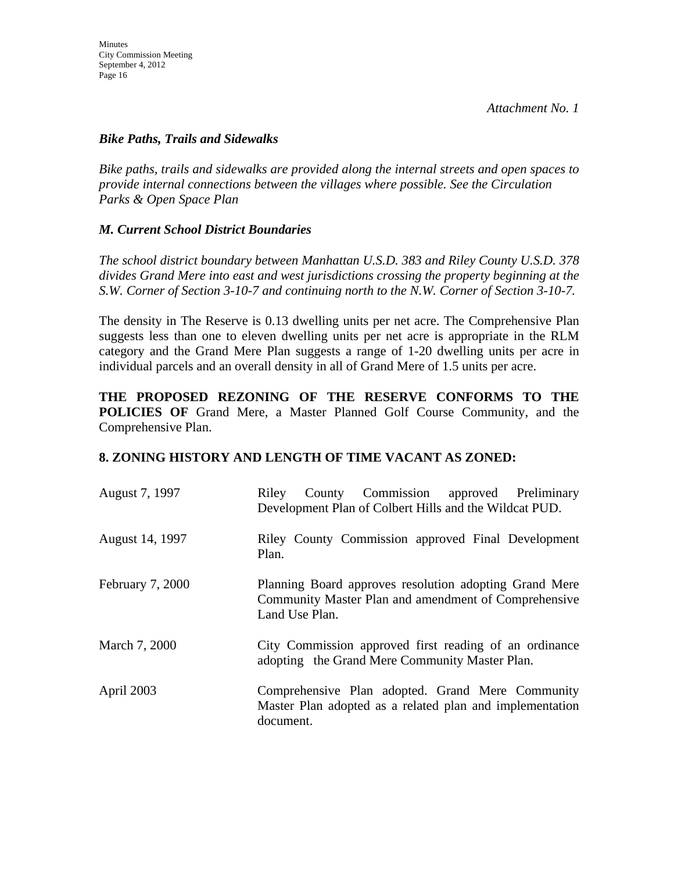### *Bike Paths, Trails and Sidewalks*

*Bike paths, trails and sidewalks are provided along the internal streets and open spaces to provide internal connections between the villages where possible. See the Circulation Parks & Open Space Plan* 

## *M. Current School District Boundaries*

*The school district boundary between Manhattan U.S.D. 383 and Riley County U.S.D. 378 divides Grand Mere into east and west jurisdictions crossing the property beginning at the S.W. Corner of Section 3-10-7 and continuing north to the N.W. Corner of Section 3-10-7.* 

The density in The Reserve is 0.13 dwelling units per net acre. The Comprehensive Plan suggests less than one to eleven dwelling units per net acre is appropriate in the RLM category and the Grand Mere Plan suggests a range of 1-20 dwelling units per acre in individual parcels and an overall density in all of Grand Mere of 1.5 units per acre.

**THE PROPOSED REZONING OF THE RESERVE CONFORMS TO THE POLICIES OF** Grand Mere, a Master Planned Golf Course Community, and the Comprehensive Plan.

## **8. ZONING HISTORY AND LENGTH OF TIME VACANT AS ZONED:**

| August 7, 1997          | County Commission approved Preliminary<br>Riley<br>Development Plan of Colbert Hills and the Wildcat PUD.                        |
|-------------------------|----------------------------------------------------------------------------------------------------------------------------------|
| August 14, 1997         | Riley County Commission approved Final Development<br>Plan.                                                                      |
| <b>February 7, 2000</b> | Planning Board approves resolution adopting Grand Mere<br>Community Master Plan and amendment of Comprehensive<br>Land Use Plan. |
| March 7, 2000           | City Commission approved first reading of an ordinance<br>adopting the Grand Mere Community Master Plan.                         |
| April 2003              | Comprehensive Plan adopted. Grand Mere Community<br>Master Plan adopted as a related plan and implementation<br>document.        |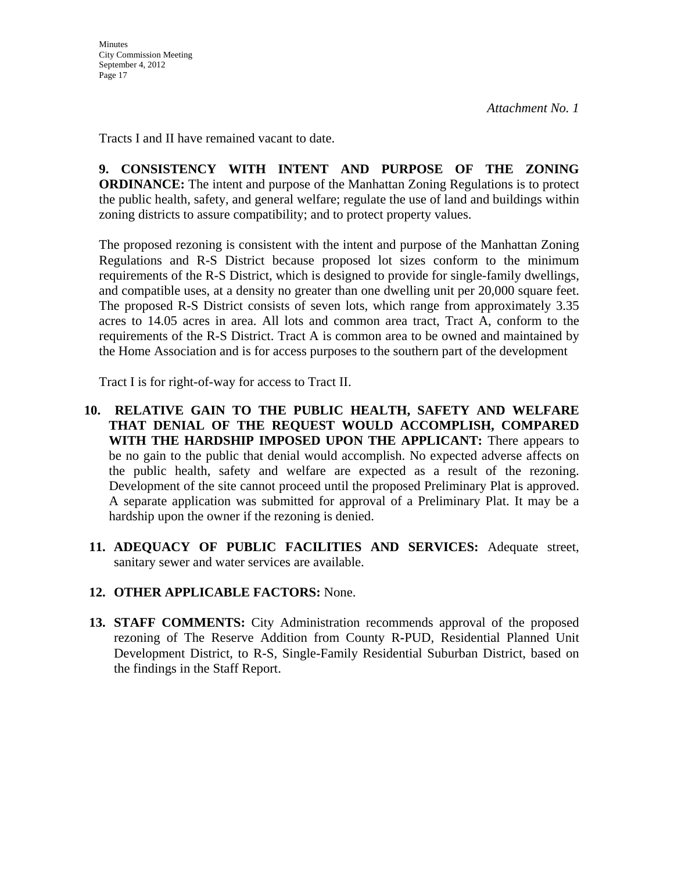Tracts I and II have remained vacant to date.

**9. CONSISTENCY WITH INTENT AND PURPOSE OF THE ZONING ORDINANCE:** The intent and purpose of the Manhattan Zoning Regulations is to protect the public health, safety, and general welfare; regulate the use of land and buildings within zoning districts to assure compatibility; and to protect property values.

The proposed rezoning is consistent with the intent and purpose of the Manhattan Zoning Regulations and R-S District because proposed lot sizes conform to the minimum requirements of the R-S District, which is designed to provide for single-family dwellings, and compatible uses, at a density no greater than one dwelling unit per 20,000 square feet. The proposed R-S District consists of seven lots, which range from approximately 3.35 acres to 14.05 acres in area. All lots and common area tract, Tract A, conform to the requirements of the R-S District. Tract A is common area to be owned and maintained by the Home Association and is for access purposes to the southern part of the development

Tract I is for right-of-way for access to Tract II.

- **10. RELATIVE GAIN TO THE PUBLIC HEALTH, SAFETY AND WELFARE THAT DENIAL OF THE REQUEST WOULD ACCOMPLISH, COMPARED WITH THE HARDSHIP IMPOSED UPON THE APPLICANT:** There appears to be no gain to the public that denial would accomplish. No expected adverse affects on the public health, safety and welfare are expected as a result of the rezoning. Development of the site cannot proceed until the proposed Preliminary Plat is approved. A separate application was submitted for approval of a Preliminary Plat. It may be a hardship upon the owner if the rezoning is denied.
- **11. ADEQUACY OF PUBLIC FACILITIES AND SERVICES:** Adequate street, sanitary sewer and water services are available.
- **12. OTHER APPLICABLE FACTORS:** None.
- **13. STAFF COMMENTS:** City Administration recommends approval of the proposed rezoning of The Reserve Addition from County R**-**PUD, Residential Planned Unit Development District, to R-S, Single-Family Residential Suburban District, based on the findings in the Staff Report.